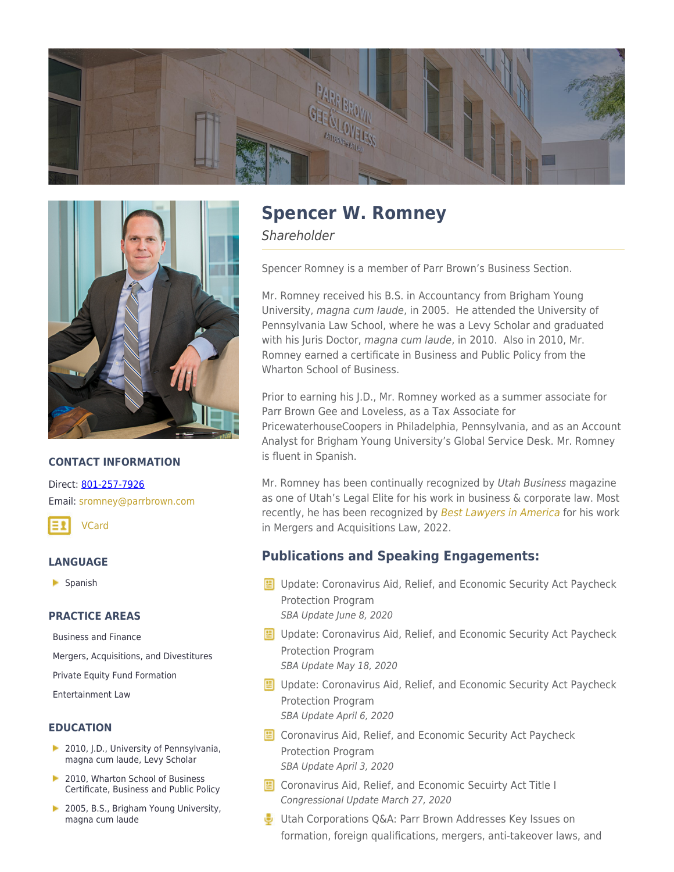



## **CONTACT INFORMATION**

Direct: [801-257-7926](https://parrbrown.com/tel:1-801-257-7926) Email: [sromney@parrbrown.com](mailto:sromney@parrbrown.com)



### **LANGUAGE**

Spanish

### **PRACTICE AREAS**

[Business and Finance](https://parrbrown.com/services/business-finance/)

[Mergers, Acquisitions, and Divestitures](https://parrbrown.com/services/business-finance/mergers-acquisitions-and-divestitures/)

[Private Equity Fund Formation](https://parrbrown.com/services/business-finance/private-equity-fund-formation-compliance/)

[Entertainment Law](https://parrbrown.com/services/entertainment-law/)

### **EDUCATION**

- **2010, J.D., University of Pennsylvania,** magna cum laude, Levy Scholar
- 2010, Wharton School of Business Certificate, Business and Public Policy
- 2005, B.S., Brigham Young University, magna cum laude

# **Spencer W. Romney**

**Shareholder** 

Spencer Romney is a member of Parr Brown's Business Section.

Mr. Romney received his B.S. in Accountancy from Brigham Young University, magna cum laude, in 2005. He attended the University of Pennsylvania Law School, where he was a Levy Scholar and graduated with his Juris Doctor, magna cum laude, in 2010. Also in 2010, Mr. Romney earned a certificate in Business and Public Policy from the Wharton School of Business.

Prior to earning his J.D., Mr. Romney worked as a summer associate for Parr Brown Gee and Loveless, as a Tax Associate for PricewaterhouseCoopers in Philadelphia, Pennsylvania, and as an Account Analyst for Brigham Young University's Global Service Desk. Mr. Romney is fluent in Spanish.

Mr. Romney has been continually recognized by Utah Business magazine as one of [Utah's Legal Elite](https://www.utahbusiness.com/meet-the-2022-legal-elite/) for his work in business & corporate law. Most recently, he has been recognized by [Best Lawyers in America](https://www.bestlawyers.com/) for his work in Mergers and Acquisitions Law, 2022.

# **Publications and Speaking Engagements:**

- **E** Update: Coronavirus Aid, Relief, and Economic Security Act Paycheck Protection Program SBA Update June 8, 2020
- **E** Update: Coronavirus Aid, Relief, and Economic Security Act Paycheck Protection Program SBA Update May 18, 2020
- **E** Update: Coronavirus Aid, Relief, and Economic Security Act Paycheck Protection Program SBA Update April 6, 2020
- **E** Coronavirus Aid, Relief, and Economic Security Act Paycheck Protection Program SBA Update April 3, 2020
- **E** Coronavirus Aid, Relief, and Economic Secuirty Act Title I Congressional Update March 27, 2020
- Utah Corporations Q&A: Parr Brown Addresses Key Issues on formation, foreign qualifications, mergers, anti-takeover laws, and